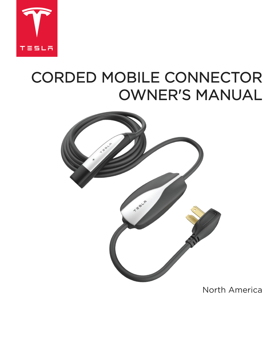

# CORDED MOBILE CONNECTOR OWNER'S MANUAL



# North America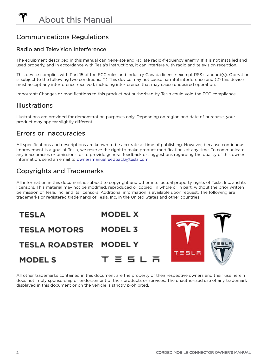# <span id="page-3-0"></span>Communications Regulations

#### Radio and Television Interference

The equipment described in this manual can generate and radiate radio-frequency energy. If it is not installed and used properly, and in accordance with Tesla's instructions, it can interfere with radio and television reception.

This device complies with Part 15 of the FCC rules and Industry Canada license-exempt RSS standard(s). Operation is subject to the following two conditions: (1) This device may not cause harmful interference and (2) this device must accept any interference received, including interference that may cause undesired operation.

Important: Changes or modifications to this product not authorized by Tesla could void the FCC compliance.

#### **Illustrations**

Illustrations are provided for demonstration purposes only. Depending on region and date of purchase, your product may appear slightly different.

#### Errors or Inaccuracies

All specifications and descriptions are known to be accurate at time of publishing. However, because continuous improvement is a goal at Tesla, we reserve the right to make product modifications at any time. To communicate any inaccuracies or omissions, or to provide general feedback or suggestions regarding the quality of this owner information, send an email to [ownersmanualfeedback@tesla.com.](mailto:OwnersManualFeedback@Tesla.com)

# Copyrights and Trademarks

All information in this document is subject to copyright and other intellectual property rights of Tesla, Inc. and its licensors. This material may not be modified, reproduced or copied, in whole or in part, without the prior written permission of Tesla, Inc. and its licensors. Additional information is available upon request. The following are trademarks or registered trademarks of Tesla, Inc. in the United States and other countries:



All other trademarks contained in this document are the property of their respective owners and their use herein does not imply sponsorship or endorsement of their products or services. The unauthorized use of any trademark displayed in this document or on the vehicle is strictly prohibited.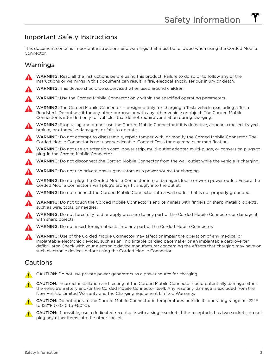#### <span id="page-4-0"></span>Important Safety Instructions

This document contains important instructions and warnings that must be followed when using the Corded Mobile Connector.

#### **Warnings**

- WARNING: Read all the instructions before using this product. Failure to do so or to follow any of the instructions or warnings in this document can result in fire, electical shock, serious injury or death.
- WARNING: This device should be supervised when used around children.
- WARNING: Use the Corded Mobile Connector only within the specified operating parameters.
- WARNING: The Corded Mobile Connector is designed only for charging a Tesla vehicle (excluding a Tesla Roadster). Do not use it for any other purpose or with any other vehicle or object. The Corded Mobile Connector is intended only for vehicles that do not require ventilation during charging.
- WARNING: Stop using and do not use the Corded Mobile Connector if it is defective, appears cracked, frayed, broken, or otherwise damaged, or fails to operate.
- WARNING: Do not attempt to disassemble, repair, tamper with, or modify the Corded Mobile Connector. The Corded Mobile Connector is not user serviceable. Contact Tesla for any repairs or modification.
- WARNING: Do not use an extension cord, power strip, multi-outlet adapter, multi-plugs, or conversion plugs to plug-in the Corded Mobile Connector.
- WARNING: Do not disconnect the Corded Mobile Connector from the wall outlet while the vehicle is charging.
- WARNING: Do not use private power generators as a power source for charging.
	- WARNING: Do not plug the Corded Mobile Connector into a damaged, loose or worn power outlet. Ensure the Corded Mobile Connector's wall plug's prongs fit snugly into the outlet.
	- WARNING: Do not connect the Corded Mobile Connector into a wall outlet that is not properly grounded.
- WARNING: Do not touch the Corded Mobile Connector's end terminals with fingers or sharp metallic objects, such as wire, tools, or needles.
- WARNING: Do not forcefully fold or apply pressure to any part of the Corded Mobile Connector or damage it with sharp objects.
	- WARNING: Do not insert foreign objects into any part of the Corded Mobile Connector.
	- WARNING: Use of the Corded Mobile Connector may affect or impair the operation of any medical or implantable electronic devices, such as an implantable cardiac pacemaker or an implantable cardioverter defibrillator. Check with your electronic device manufacturer concerning the effects that charging may have on such electronic devices before using the Corded Mobile Connector.

#### **Cautions**

- CAUTION: Do not use private power generators as a power source for charging.
- CAUTION: Incorrect installation and testing of the Corded Mobile Connector could potentially damage either the vehicle's Battery and/or the Corded Mobile Connector itself. Any resulting damage is excluded from the New Vehicle Limited Warranty and the Charging Equipment Limited Warranty.
- CAUTION: Do not operate the Corded Mobile Connector in temperatures outside its operating range of -22°F to 122°F (-30°C to +50°C).
- CAUTION: If possible, use a dedicated receptacle with a single socket. If the receptacle has two sockets, do not plug any other items into the other socket.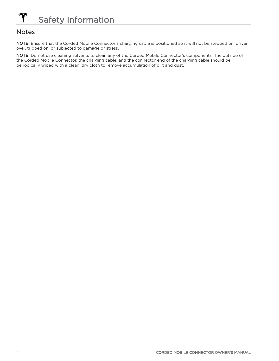#### <span id="page-5-0"></span>**Notes**

NOTE: Ensure that the Corded Mobile Connector's charging cable is positioned so it will not be stepped on, driven over, tripped on, or subjected to damage or stress.

NOTE: Do not use cleaning solvents to clean any of the Corded Mobile Connector's components. The outside of the Corded Mobile Connector, the charging cable, and the connector end of the charging cable should be periodically wiped with a clean, dry cloth to remove accumulation of dirt and dust.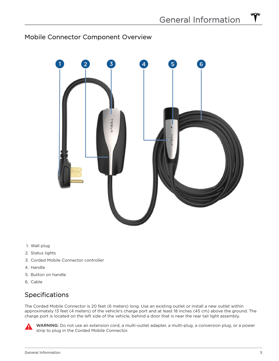#### <span id="page-6-0"></span>Mobile Connector Component Overview



- 1. Wall plug
- 2. Status lights
- 3. Corded Mobile Connector controller
- 4. Handle
- 5. Button on handle
- 6. Cable

#### Specifications

The Corded Mobile Connector is 20 feet (6 meters) long. Use an existing outlet or install a new outlet within approximately 13 feet (4 meters) of the vehicle's charge port and at least 18 inches (45 cm) above the ground. The charge port is located on the left side of the vehicle, behind a door that is near the rear tail light assembly.



WARNING: Do not use an extension cord, a multi-outlet adapter, a multi-plug, a conversion plug, or a power strip to plug in the Corded Mobile Connector.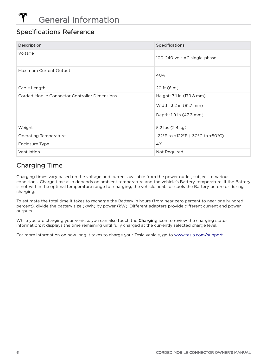#### Specifications Reference

| Description                                   | <b>Specifications</b>                                                           |
|-----------------------------------------------|---------------------------------------------------------------------------------|
| Voltage                                       | 100-240 volt AC single-phase                                                    |
| Maximum Current Output                        | 40A                                                                             |
| Cable Length                                  | 20 ft (6 m)                                                                     |
| Corded Mobile Connector Controller Dimensions | Height: 7.1 in (179.8 mm)<br>Width: 3.2 in (81.7 mm)<br>Depth: 1.9 in (47.3 mm) |
| Weight                                        | 5.2 lbs (2.4 kg)                                                                |
| Operating Temperature                         | -22°F to +122°F (-30°C to +50°C)                                                |
| Enclosure Type                                | 4X                                                                              |
| Ventilation                                   | Not Required                                                                    |

# Charging Time

Charging times vary based on the voltage and current available from the power outlet, subject to various conditions. Charge time also depends on ambient temperature and the vehicle's Battery temperature. If the Battery is not within the optimal temperature range for charging, the vehicle heats or cools the Battery before or during charging.

To estimate the total time it takes to recharge the Battery in hours (from near zero percent to near one hundred percent), divide the battery size (kWh) by power (kW). Different adapters provide different current and power outputs.

While you are charging your vehicle, you can also touch the Charging icon to review the charging status information; it displays the time remaining until fully charged at the currently selected charge level.

For more information on how long it takes to charge your Tesla vehicle, go to [www.tesla.com/support](http://www.teslamotors.com/support).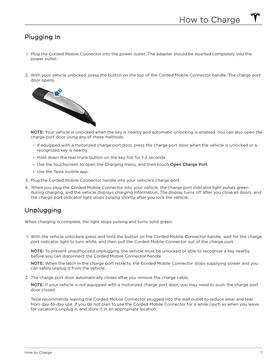#### <span id="page-8-0"></span>Plugging In

- 1. Plug the Corded Mobile Connector into the power outlet. The adapter should be inserted completely into the power outlet.
- 2. With your vehicle unlocked, press the button on the top of the Corded Mobile Connector handle. The charge port door opens.



NOTE: Your vehicle is unlocked when the key is nearby and automatic unlocking is enabled. You can also open the charge port door using any of these methods:

- If equipped with a motorized charge port door, press the charge port door when the vehicle is unlocked or a recognized key is nearby.
- Hold down the rear trunk button on the key fob for 1-2 seconds.
- Use the touchscreen to open the Charging menu, and then touch Open Charge Port.
- Use the Tesla mobile app.
- 3. Plug the Corded Mobile Connector handle into your vehicle's charge port.
- 4. When you plug the Corded Mobile Connector into your vehicle, the charge port indicator light pulses green during charging, and the vehicle displays charging information. The display turns off after you close all doors, and the charge port indicator light stops pulsing shortly after you lock the vehicle.

#### Unplugging

When charging is complete, the light stops pulsing and turns solid green.

1. With the vehicle unlocked, press and hold the button on the Corded Mobile Connector handle, wait for the charge port indicator light to turn white, and then pull the Corded Mobile Connector out of the charge port.

NOTE: To prevent unauthorized unplugging, the vehicle must be unlocked or able to recognize a key nearby before you can disconnect the Corded Mobile Connector handle.

NOTE: When the latch in the charge port retracts, the Corded Mobile Connector stops supplying power and you can safely unplug it from the vehicle.

2. The charge port door automatically closes after you remove the charge cable.

NOTE: If your vehicle is not equipped with a motorized charge port door, you may need to push the charge port door closed.

Tesla recommends leaving the Corded Mobile Connector plugged into the wall outlet to reduce wear and tear from day-to-day use. If you do not plan to use the Corded Mobile Connector for a while (such as when you leave for vacation), unplug it, and store it in an appropriate location.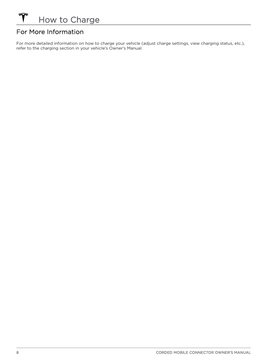# For More Information

For more detailed information on how to charge your vehicle (adjust charge settings, view charging status, etc.), refer to the charging section in your vehicle's Owner's Manual.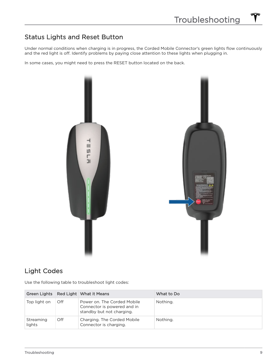#### <span id="page-10-0"></span>Status Lights and Reset Button

Under normal conditions when charging is in progress, the Corded Mobile Connector's green lights flow continuously and the red light is off. Identify problems by paying close attention to these lights when plugging in.

In some cases, you might need to press the RESET button located on the back.



#### Light Codes

Use the following table to troubleshoot light codes:

|                     |     | Green Lights Red Light What it Means                                                    | What to Do |
|---------------------|-----|-----------------------------------------------------------------------------------------|------------|
| Top light on        | Off | Power on. The Corded Mobile<br>Connector is powered and in<br>standby but not charging. | Nothing.   |
| Streaming<br>lights | Off | Charging. The Corded Mobile<br>Connector is charging.                                   | Nothing.   |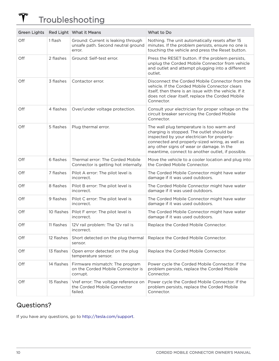#### $\hat{\bm{\tau}}$ Troubleshooting

|     |            | Green Lights Red Light What it Means                                               | What to Do                                                                                                                                                                                                                                                                                 |
|-----|------------|------------------------------------------------------------------------------------|--------------------------------------------------------------------------------------------------------------------------------------------------------------------------------------------------------------------------------------------------------------------------------------------|
| Off | 1 flash    | Ground: Current is leaking through<br>unsafe path. Second neutral ground<br>error. | Nothing. The unit automatically resets after 15<br>minutes. If the problem persists, ensure no one is<br>touching the vehicle and press the Reset button.                                                                                                                                  |
| Off | 2 flashes  | Ground: Self-test error.                                                           | Press the RESET button. If the problem persists,<br>unplug the Corded Mobile Connector from vehicle<br>and outlet and attempt plugging into a different<br>outlet.                                                                                                                         |
| Off | 3 flashes  | Contactor error.                                                                   | Disconnect the Corded Mobile Connector from the<br>vehicle. If the Corded Mobile Connector clears<br>itself, then there is an issue with the vehicle. If it<br>does not clear itself, replace the Corded Mobile<br>Connector.                                                              |
| Off | 4 flashes  | Over/under voltage protection.                                                     | Consult your electrician for proper voltage on the<br>circuit breaker servicing the Corded Mobile<br>Connector.                                                                                                                                                                            |
| Off | 5 flashes  | Plug thermal error.                                                                | The wall plug temperature is too warm and<br>charging is stopped. The outlet should be<br>inspected by your electrician for properly-<br>connected and properly-sized wiring, as well as<br>any other signs of wear or damage. In the<br>meantime, connect to another outlet, if possible. |
| Off | 6 flashes  | Thermal error: The Corded Mobile<br>Connector is getting hot internally.           | Move the vehicle to a cooler location and plug into<br>the Corded Mobile Connector.                                                                                                                                                                                                        |
| Off | 7 flashes  | Pilot A error: The pilot level is<br>incorrect.                                    | The Corded Mobile Connector might have water<br>damage if it was used outdoors.                                                                                                                                                                                                            |
| Off | 8 flashes  | Pilot B error: The pilot level is<br>incorrect.                                    | The Corded Mobile Connector might have water<br>damage if it was used outdoors.                                                                                                                                                                                                            |
| Off | 9 flashes  | Pilot C error: The pilot level is<br>incorrect.                                    | The Corded Mobile Connector might have water<br>damage if it was used outdoors.                                                                                                                                                                                                            |
| Off | 10 flashes | Pilot F error: The pilot level is<br>incorrect.                                    | The Corded Mobile Connector might have water<br>damage if it was used outdoors.                                                                                                                                                                                                            |
| Off | 11 flashes | 12V rail problem: The 12v rail is<br>incorrect.                                    | Replace the Corded Mobile Connector.                                                                                                                                                                                                                                                       |
| Off | 12 flashes | Short detected on the plug thermal<br>sensor.                                      | Replace the Corded Mobile Connector.                                                                                                                                                                                                                                                       |
| Off | 13 flashes | Open error detected on the plug<br>temperature sensor.                             | Replace the Corded Mobile Connector.                                                                                                                                                                                                                                                       |
| Off | 14 flashes | Firmware mismatch: The program<br>on the Corded Mobile Connector is<br>corrupt.    | Power cycle the Corded Mobile Connector. If the<br>problem persists, replace the Corded Mobile<br>Connector.                                                                                                                                                                               |
| Off | 15 flashes | Vref error: The voltage reference on<br>the Corded Mobile Connector<br>failed.     | Power cycle the Corded Mobile Connector. If the<br>problem persists, replace the Corded Mobile<br>Connector.                                                                                                                                                                               |

#### Questions?

If you have any questions, go to [http://tesla.com/support.](http://tesla.com/support)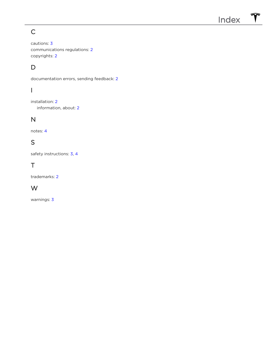# <span id="page-12-0"></span>C

cautions: [3](#page-4-0) communications regulations: [2](#page-3-0) copyrights: [2](#page-3-0)

# D

documentation errors, sending feedback: [2](#page-3-0)

# I

installation: [2](#page-3-0) information, about: [2](#page-3-0)

#### N

notes: [4](#page-5-0)

### S

safety instructions: [3](#page-4-0), [4](#page-5-0)

# T

trademarks: [2](#page-3-0)

#### W

warnings: [3](#page-4-0)